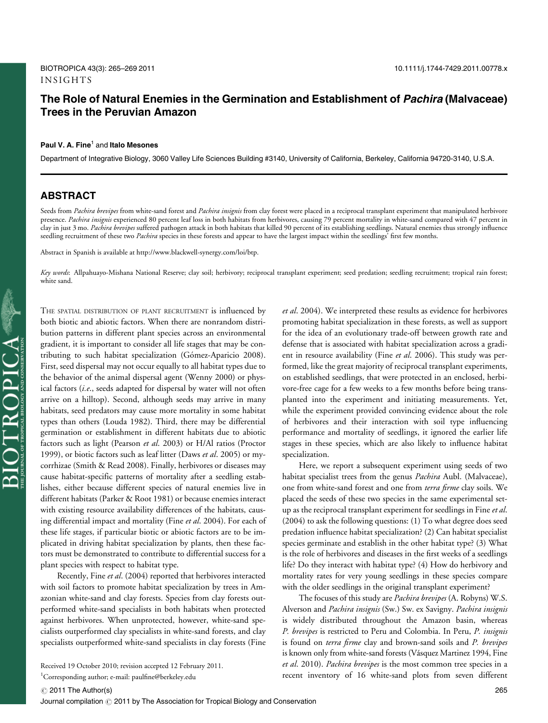### INSIGHTS BIOTROPICA 43(3): 265–269 2011 200778.x (10.1111/j.1744-7429.2011.00778.x

# The Role of Natural Enemies in the Germination and Establishment of Pachira (Malvaceae) Trees in the Peruvian Amazon

#### Paul V. A. Fine<sup>1</sup> and Italo Mesones

Department of Integrative Biology, 3060 Valley Life Sciences Building #3140, University of California, Berkeley, California 94720-3140, U.S.A.

#### ABSTRACT

Seeds from Pachira brevipes from white-sand forest and Pachira insignis from clay forest were placed in a reciprocal transplant experiment that manipulated herbivore presence. Pachira insignis experienced 80 percent leaf loss in both habitats from herbivores, causing 79 percent mortality in white-sand compared with 47 percent in clay in just 3 mo. Pachira brevipes suffered pathogen attack in both habitats that killed 90 percent of its establishing seedlings. Natural enemies thus strongly influence seedling recruitment of these two Pachira species in these forests and appear to have the largest impact within the seedlings' first few months.

Abstract in Spanish is available at<http://www.blackwell-synergy.com/loi/btp>.

Key words: Allpahuayo-Mishana National Reserve; clay soil; herbivory; reciprocal transplant experiment; seed predation; seedling recruitment; tropical rain forest; white sand.

THE SPATIAL DISTRIBUTION OF PLANT RECRUITMENT is influenced by both biotic and abiotic factors. When there are nonrandom distribution patterns in different plant species across an environmental gradient, it is important to consider all life stages that may be contributing to such habitat specialization (Gómez-Aparicio 2008). First, seed dispersal may not occur equally to all habitat types due to the behavior of the animal dispersal agent (Wenny 2000) or physical factors (i.e., seeds adapted for dispersal by water will not often arrive on a hilltop). Second, although seeds may arrive in many habitats, seed predators may cause more mortality in some habitat types than others (Louda 1982). Third, there may be differential germination or establishment in different habitats due to abiotic factors such as light (Pearson et al. 2003) or H/Al ratios (Proctor 1999), or biotic factors such as leaf litter (Daws et al. 2005) or mycorrhizae (Smith & Read 2008). Finally, herbivores or diseases may cause habitat-specific patterns of mortality after a seedling establishes, either because different species of natural enemies live in different habitats (Parker & Root 1981) or because enemies interact with existing resource availability differences of the habitats, causing differential impact and mortality (Fine et al. 2004). For each of these life stages, if particular biotic or abiotic factors are to be implicated in driving habitat specialization by plants, then these factors must be demonstrated to contribute to differential success for a plant species with respect to habitat type.

Recently, Fine et al. (2004) reported that herbivores interacted with soil factors to promote habitat specialization by trees in Amazonian white-sand and clay forests. Species from clay forests outperformed white-sand specialists in both habitats when protected against herbivores. When unprotected, however, white-sand specialists outperformed clay specialists in white-sand forests, and clay specialists outperformed white-sand specialists in clay forests (Fine

Received 19 October 2010; revision accepted 12 February 2011.

et al. 2004). We interpreted these results as evidence for herbivores promoting habitat specialization in these forests, as well as support for the idea of an evolutionary trade-off between growth rate and defense that is associated with habitat specialization across a gradient in resource availability (Fine et al. 2006). This study was performed, like the great majority of reciprocal transplant experiments, on established seedlings, that were protected in an enclosed, herbivore-free cage for a few weeks to a few months before being transplanted into the experiment and initiating measurements. Yet, while the experiment provided convincing evidence about the role of herbivores and their interaction with soil type influencing performance and mortality of seedlings, it ignored the earlier life stages in these species, which are also likely to influence habitat specialization.

Here, we report a subsequent experiment using seeds of two habitat specialist trees from the genus Pachira Aubl. (Malvaceae), one from white-sand forest and one from terra firme clay soils. We placed the seeds of these two species in the same experimental setup as the reciprocal transplant experiment for seedlings in Fine et al. (2004) to ask the following questions: (1) To what degree does seed predation influence habitat specialization? (2) Can habitat specialist species germinate and establish in the other habitat type? (3) What is the role of herbivores and diseases in the first weeks of a seedlings life? Do they interact with habitat type? (4) How do herbivory and mortality rates for very young seedlings in these species compare with the older seedlings in the original transplant experiment?

The focuses of this study are Pachira brevipes (A. Robyns) W.S. Alverson and Pachira insignis (Sw.) Sw. ex Savigny. Pachira insignis is widely distributed throughout the Amazon basin, whereas P. brevipes is restricted to Peru and Colombia. In Peru, P. insignis is found on terra firme clay and brown-sand soils and P. brevipes is known only from white-sand forests (Vásquez Martinez 1994, Fine et al. 2010). Pachira brevipes is the most common tree species in a recent inventory of 16 white-sand plots from seven different

<sup>1</sup> Corresponding author; e-mail: [paulfine@berkeley.edu](mailto:paulfine@berkeley.edu)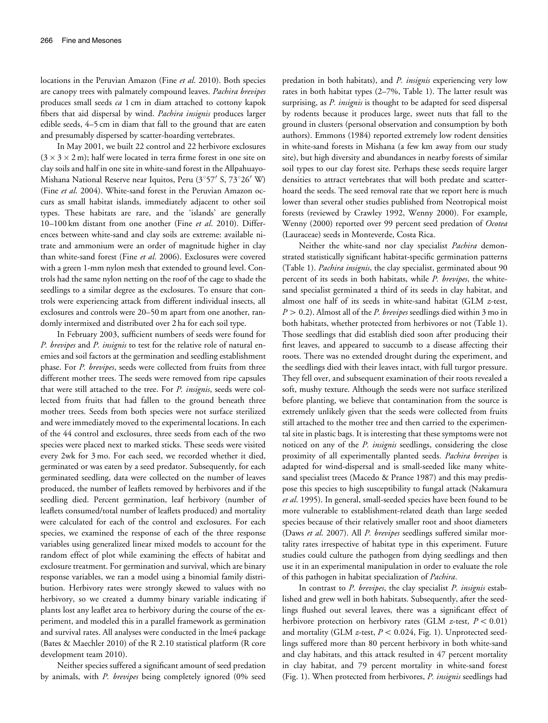locations in the Peruvian Amazon (Fine et al. 2010). Both species are canopy trees with palmately compound leaves. Pachira brevipes produces small seeds ca 1 cm in diam attached to cottony kapok fibers that aid dispersal by wind. Pachira insignis produces larger edible seeds, 4–5 cm in diam that fall to the ground that are eaten and presumably dispersed by scatter-hoarding vertebrates.

In May 2001, we built 22 control and 22 herbivore exclosures  $(3 \times 3 \times 2 \,\mathrm{m})$ ; half were located in terra firme forest in one site on clay soils and half in one site in white-sand forest in the Allpahuayo-Mishana National Reserve near Iquitos, Peru  $(3°57' S, 73°26' W)$ (Fine et al. 2004). White-sand forest in the Peruvian Amazon occurs as small habitat islands, immediately adjacent to other soil types. These habitats are rare, and the 'islands' are generally 10–100 km distant from one another (Fine et al. 2010). Differences between white-sand and clay soils are extreme: available nitrate and ammonium were an order of magnitude higher in clay than white-sand forest (Fine et al. 2006). Exclosures were covered with a green 1-mm nylon mesh that extended to ground level. Controls had the same nylon netting on the roof of the cage to shade the seedlings to a similar degree as the exclosures. To ensure that controls were experiencing attack from different individual insects, all exclosures and controls were 20–50 m apart from one another, randomly intermixed and distributed over 2 ha for each soil type.

In February 2003, sufficient numbers of seeds were found for P. brevipes and P. insignis to test for the relative role of natural enemies and soil factors at the germination and seedling establishment phase. For P. brevipes, seeds were collected from fruits from three different mother trees. The seeds were removed from ripe capsules that were still attached to the tree. For P. insignis, seeds were collected from fruits that had fallen to the ground beneath three mother trees. Seeds from both species were not surface sterilized and were immediately moved to the experimental locations. In each of the 44 control and exclosures, three seeds from each of the two species were placed next to marked sticks. These seeds were visited every 2wk for 3 mo. For each seed, we recorded whether it died, germinated or was eaten by a seed predator. Subsequently, for each germinated seedling, data were collected on the number of leaves produced, the number of leaflets removed by herbivores and if the seedling died. Percent germination, leaf herbivory (number of leaflets consumed/total number of leaflets produced) and mortality were calculated for each of the control and exclosures. For each species, we examined the response of each of the three response variables using generalized linear mixed models to account for the random effect of plot while examining the effects of habitat and exclosure treatment. For germination and survival, which are binary response variables, we ran a model using a binomial family distribution. Herbivory rates were strongly skewed to values with no herbivory, so we created a dummy binary variable indicating if plants lost any leaflet area to herbivory during the course of the experiment, and modeled this in a parallel framework as germination and survival rates. All analyses were conducted in the lme4 package (Bates & Maechler 2010) of the R 2.10 statistical platform (R core development team 2010).

Neither species suffered a significant amount of seed predation by animals, with P. brevipes being completely ignored (0% seed

predation in both habitats), and P. insignis experiencing very low rates in both habitat types (2–7%, Table 1). The latter result was surprising, as *P. insignis* is thought to be adapted for seed dispersal by rodents because it produces large, sweet nuts that fall to the ground in clusters (personal observation and consumption by both authors). Emmons (1984) reported extremely low rodent densities in white-sand forests in Mishana (a few km away from our study site), but high diversity and abundances in nearby forests of similar soil types to our clay forest site. Perhaps these seeds require larger densities to attract vertebrates that will both predate and scatterhoard the seeds. The seed removal rate that we report here is much lower than several other studies published from Neotropical moist forests (reviewed by Crawley 1992, Wenny 2000). For example, Wenny (2000) reported over 99 percent seed predation of Ocotea (Lauraceae) seeds in Monteverde, Costa Rica.

Neither the white-sand nor clay specialist Pachira demonstrated statistically significant habitat-specific germination patterns (Table 1). Pachira insignis, the clay specialist, germinated about 90 percent of its seeds in both habitats, while P. brevipes, the whitesand specialist germinated a third of its seeds in clay habitat, and almost one half of its seeds in white-sand habitat (GLM z-test,  $P > 0.2$ ). Almost all of the *P. brevipes* seedlings died within 3 mo in both habitats, whether protected from herbivores or not (Table 1). Those seedlings that did establish died soon after producing their first leaves, and appeared to succumb to a disease affecting their roots. There was no extended drought during the experiment, and the seedlings died with their leaves intact, with full turgor pressure. They fell over, and subsequent examination of their roots revealed a soft, mushy texture. Although the seeds were not surface sterilized before planting, we believe that contamination from the source is extremely unlikely given that the seeds were collected from fruits still attached to the mother tree and then carried to the experimental site in plastic bags. It is interesting that these symptoms were not noticed on any of the P. insignis seedlings, considering the close proximity of all experimentally planted seeds. Pachira brevipes is adapted for wind-dispersal and is small-seeded like many whitesand specialist trees (Macedo & Prance 1987) and this may predispose this species to high susceptibility to fungal attack (Nakamura et al. 1995). In general, small-seeded species have been found to be more vulnerable to establishment-related death than large seeded species because of their relatively smaller root and shoot diameters (Daws et al. 2007). All P. brevipes seedlings suffered similar mortality rates irrespective of habitat type in this experiment. Future studies could culture the pathogen from dying seedlings and then use it in an experimental manipulation in order to evaluate the role of this pathogen in habitat specialization of Pachira.

In contrast to P. brevipes, the clay specialist P. insignis established and grew well in both habitats. Subsequently, after the seedlings flushed out several leaves, there was a significant effect of herbivore protection on herbivory rates (GLM z-test,  $P < 0.01$ ) and mortality (GLM z-test,  $P < 0.024$ , Fig. 1). Unprotected seedlings suffered more than 80 percent herbivory in both white-sand and clay habitats, and this attack resulted in 47 percent mortality in clay habitat, and 79 percent mortality in white-sand forest (Fig. 1). When protected from herbivores, P. insignis seedlings had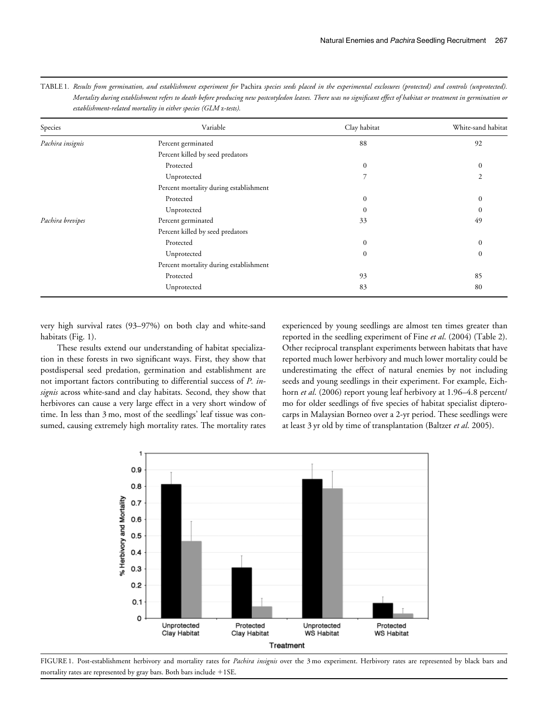| TABLE 1. Results from germination, and establishment experiment for Pachira species seeds placed in the experimental exclosures (protected) and controls (unprotected). |
|-------------------------------------------------------------------------------------------------------------------------------------------------------------------------|
| Mortality during establishment refers to death before producing new postcotyledon leaves. There was no significant effect of habitat or treatment in germination or     |
| establishment-related mortality in either species (GLM z-tests).                                                                                                        |

| Species          | Variable                               | Clay habitat | White-sand habitat |
|------------------|----------------------------------------|--------------|--------------------|
| Pachira insignis | Percent germinated                     | 88           | 92                 |
|                  | Percent killed by seed predators       |              |                    |
|                  | Protected                              | $\mathbf{0}$ | $\mathbf{0}$       |
|                  | Unprotected                            | 7            | $\overline{2}$     |
|                  | Percent mortality during establishment |              |                    |
|                  | Protected                              | $\mathbf{0}$ | $\mathbf{0}$       |
|                  | Unprotected                            | $\mathbf{0}$ | $\mathbf{0}$       |
| Pachira brevipes | Percent germinated                     | 33           | 49                 |
|                  | Percent killed by seed predators       |              |                    |
|                  | Protected                              | $\mathbf{0}$ | $\mathbf{0}$       |
|                  | Unprotected                            | $\mathbf{0}$ | $\mathbf{0}$       |
|                  | Percent mortality during establishment |              |                    |
|                  | Protected                              | 93           | 85                 |
|                  | Unprotected                            | 83           | 80                 |

very high survival rates (93–97%) on both clay and white-sand habitats (Fig. 1).

These results extend our understanding of habitat specialization in these forests in two significant ways. First, they show that postdispersal seed predation, germination and establishment are not important factors contributing to differential success of P. insignis across white-sand and clay habitats. Second, they show that herbivores can cause a very large effect in a very short window of time. In less than 3 mo, most of the seedlings' leaf tissue was consumed, causing extremely high mortality rates. The mortality rates experienced by young seedlings are almost ten times greater than reported in the seedling experiment of Fine et al. (2004) (Table 2). Other reciprocal transplant experiments between habitats that have reported much lower herbivory and much lower mortality could be underestimating the effect of natural enemies by not including seeds and young seedlings in their experiment. For example, Eichhorn et al. (2006) report young leaf herbivory at 1.96–4.8 percent/ mo for older seedlings of five species of habitat specialist dipterocarps in Malaysian Borneo over a 2-yr period. These seedlings were at least 3 yr old by time of transplantation (Baltzer et al. 2005).



FIGURE 1. Post-establishment herbivory and mortality rates for Pachira insignis over the 3 mo experiment. Herbivory rates are represented by black bars and mortality rates are represented by gray bars. Both bars include  $+1SE$ .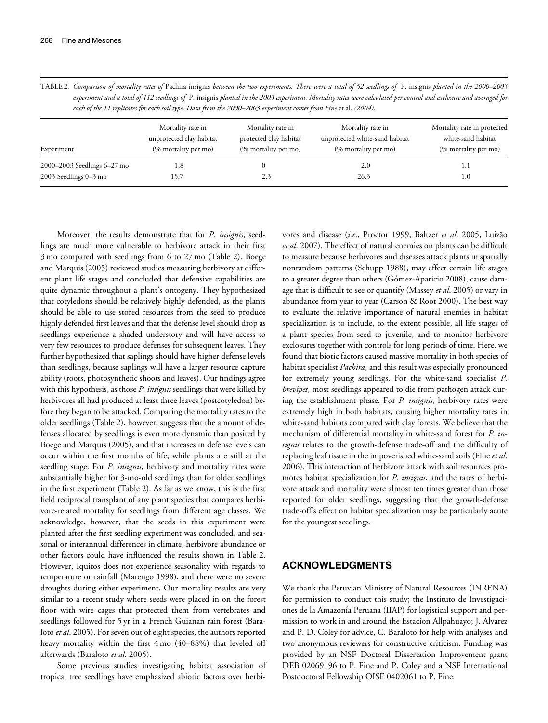| TABLE2. Comparison of mortality rates of Pachira insignis between the two experiments. There were a total of 52 seedlings of P. insignis planted in the 2000–2003 |
|-------------------------------------------------------------------------------------------------------------------------------------------------------------------|
| experiment and a total of 112 seedlings of P. insignis planted in the 2003 experiment. Mortality rates were calculated per control and exclosure and averaged for |
| each of the 11 replicates for each soil type. Data from the 2000–2003 experiment comes from Fine et al. (2004).                                                   |

| Experiment                  | Mortality rate in<br>unprotected clay habitat<br>(% mortality per mo) | Mortality rate in<br>protected clay habitat<br>(% mortality per mo) | Mortality rate in<br>unprotected white-sand habitat<br>(% mortality per mo) | Mortality rate in protected<br>white-sand habitat<br>(% mortality per mo) |
|-----------------------------|-----------------------------------------------------------------------|---------------------------------------------------------------------|-----------------------------------------------------------------------------|---------------------------------------------------------------------------|
| 2000-2003 Seedlings 6-27 mo | l.8                                                                   |                                                                     | 2.0                                                                         | 1.1                                                                       |
| 2003 Seedlings 0-3 mo       | 15.7                                                                  | 2.3                                                                 | 26.3                                                                        | 1.0                                                                       |

Moreover, the results demonstrate that for P. insignis, seedlings are much more vulnerable to herbivore attack in their first 3 mo compared with seedlings from 6 to 27 mo (Table 2). Boege and Marquis (2005) reviewed studies measuring herbivory at different plant life stages and concluded that defensive capabilities are quite dynamic throughout a plant's ontogeny. They hypothesized that cotyledons should be relatively highly defended, as the plants should be able to use stored resources from the seed to produce highly defended first leaves and that the defense level should drop as seedlings experience a shaded understory and will have access to very few resources to produce defenses for subsequent leaves. They further hypothesized that saplings should have higher defense levels than seedlings, because saplings will have a larger resource capture ability (roots, photosynthetic shoots and leaves). Our findings agree with this hypothesis, as those  $P$ . insignis seedlings that were killed by herbivores all had produced at least three leaves (postcotyledon) before they began to be attacked. Comparing the mortality rates to the older seedlings (Table 2), however, suggests that the amount of defenses allocated by seedlings is even more dynamic than posited by Boege and Marquis (2005), and that increases in defense levels can occur within the first months of life, while plants are still at the seedling stage. For *P. insignis*, herbivory and mortality rates were substantially higher for 3-mo-old seedlings than for older seedlings in the first experiment (Table 2). As far as we know, this is the first field reciprocal transplant of any plant species that compares herbivore-related mortality for seedlings from different age classes. We acknowledge, however, that the seeds in this experiment were planted after the first seedling experiment was concluded, and seasonal or interannual differences in climate, herbivore abundance or other factors could have influenced the results shown in Table 2. However, Iquitos does not experience seasonality with regards to temperature or rainfall (Marengo 1998), and there were no severe droughts during either experiment. Our mortality results are very similar to a recent study where seeds were placed in on the forest floor with wire cages that protected them from vertebrates and seedlings followed for 5 yr in a French Guianan rain forest (Baraloto et al. 2005). For seven out of eight species, the authors reported heavy mortality within the first 4 mo (40–88%) that leveled off afterwards (Baraloto et al. 2005).

Some previous studies investigating habitat association of tropical tree seedlings have emphasized abiotic factors over herbi-

vores and disease (i.e., Proctor 1999, Baltzer et al. 2005, Luizão et al. 2007). The effect of natural enemies on plants can be difficult to measure because herbivores and diseases attack plants in spatially nonrandom patterns (Schupp 1988), may effect certain life stages to a greater degree than others (Gómez-Aparicio 2008), cause damage that is difficult to see or quantify (Massey et al. 2005) or vary in abundance from year to year (Carson & Root 2000). The best way to evaluate the relative importance of natural enemies in habitat specialization is to include, to the extent possible, all life stages of a plant species from seed to juvenile, and to monitor herbivore exclosures together with controls for long periods of time. Here, we found that biotic factors caused massive mortality in both species of habitat specialist Pachira, and this result was especially pronounced for extremely young seedlings. For the white-sand specialist P. brevipes, most seedlings appeared to die from pathogen attack during the establishment phase. For *P. insignis*, herbivory rates were extremely high in both habitats, causing higher mortality rates in white-sand habitats compared with clay forests. We believe that the mechanism of differential mortality in white-sand forest for P. insignis relates to the growth-defense trade-off and the difficulty of replacing leaf tissue in the impoverished white-sand soils (Fine et al. 2006). This interaction of herbivore attack with soil resources promotes habitat specialization for P. insignis, and the rates of herbivore attack and mortality were almost ten times greater than those reported for older seedlings, suggesting that the growth-defense trade-off's effect on habitat specialization may be particularly acute for the youngest seedlings.

## ACKNOWLEDGMENTS

We thank the Peruvian Ministry of Natural Resources (INRENA) for permission to conduct this study; the Instituto de Investigaciones de la Amazonía Peruana (IIAP) for logistical support and permission to work in and around the Estacíon Allpahuayo; J. Alvarez and P. D. Coley for advice, C. Baraloto for help with analyses and two anonymous reviewers for constructive criticism. Funding was provided by an NSF Doctoral Dissertation Improvement grant DEB 02069196 to P. Fine and P. Coley and a NSF International Postdoctoral Fellowship OISE 0402061 to P. Fine.